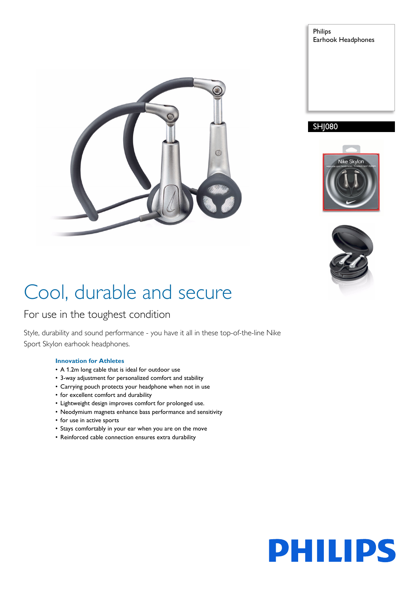

Philips Earhook Headphones

### SHJ080





# Cool, durable and secure

### For use in the toughest condition

Style, durability and sound performance - you have it all in these top-of-the-line Nike Sport Skylon earhook headphones.

#### **Innovation for Athletes**

- A 1.2m long cable that is ideal for outdoor use
- 3-way adjustment for personalized comfort and stability
- Carrying pouch protects your headphone when not in use
- for excellent comfort and durability
- Lightweight design improves comfort for prolonged use.
- Neodymium magnets enhance bass performance and sensitivity
- for use in active sports
- Stays comfortably in your ear when you are on the move
- Reinforced cable connection ensures extra durability